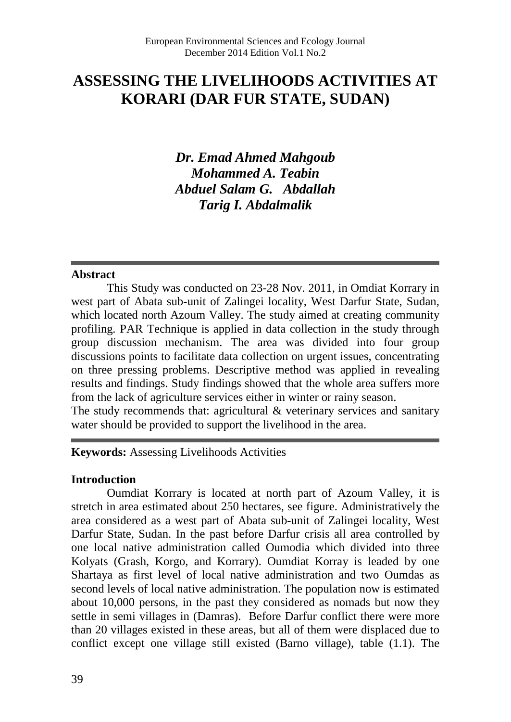# **ASSESSING THE LIVELIHOODS ACTIVITIES AT KORARI (DAR FUR STATE, SUDAN)**

*Dr. Emad Ahmed Mahgoub Mohammed A. Teabin Abduel Salam G. Abdallah Tarig I. Abdalmalik*

#### **Abstract**

This Study was conducted on 23-28 Nov. 2011, in Omdiat Korrary in west part of Abata sub-unit of Zalingei locality, West Darfur State, Sudan, which located north Azoum Valley. The study aimed at creating community profiling. PAR Technique is applied in data collection in the study through group discussion mechanism. The area was divided into four group discussions points to facilitate data collection on urgent issues, concentrating on three pressing problems. Descriptive method was applied in revealing results and findings. Study findings showed that the whole area suffers more from the lack of agriculture services either in winter or rainy season. The study recommends that: agricultural & veterinary services and sanitary water should be provided to support the livelihood in the area.

**Keywords:** Assessing Livelihoods Activities

#### **Introduction**

Oumdiat Korrary is located at north part of Azoum Valley, it is stretch in area estimated about 250 hectares, see figure. Administratively the area considered as a west part of Abata sub-unit of Zalingei locality, West Darfur State, Sudan. In the past before Darfur crisis all area controlled by one local native administration called Oumodia which divided into three Kolyats (Grash, Korgo, and Korrary). Oumdiat Korray is leaded by one Shartaya as first level of local native administration and two Oumdas as second levels of local native administration. The population now is estimated about 10,000 persons, in the past they considered as nomads but now they settle in semi villages in (Damras). Before Darfur conflict there were more than 20 villages existed in these areas, but all of them were displaced due to conflict except one village still existed (Barno village), table (1.1). The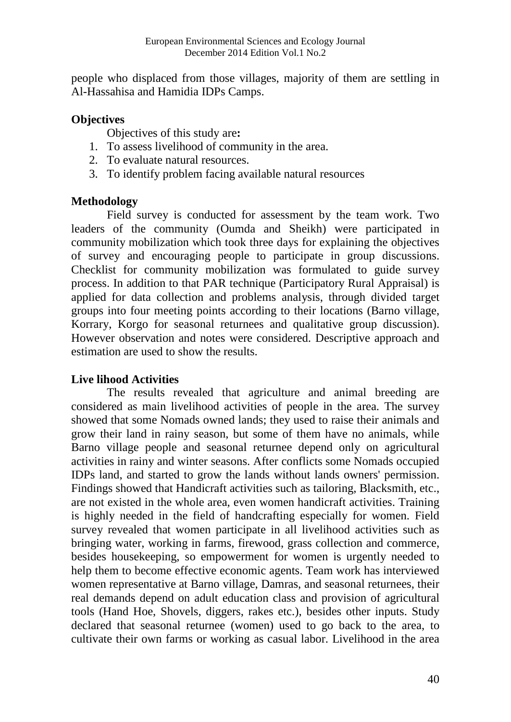people who displaced from those villages, majority of them are settling in Al-Hassahisa and Hamidia IDPs Camps.

### **Objectives**

Objectives of this study are**:**

- 1. To assess livelihood of community in the area.
- 2. To evaluate natural resources.
- 3. To identify problem facing available natural resources

### **Methodology**

Field survey is conducted for assessment by the team work. Two leaders of the community (Oumda and Sheikh) were participated in community mobilization which took three days for explaining the objectives of survey and encouraging people to participate in group discussions. Checklist for community mobilization was formulated to guide survey process. In addition to that PAR technique (Participatory Rural Appraisal) is applied for data collection and problems analysis, through divided target groups into four meeting points according to their locations (Barno village, Korrary, Korgo for seasonal returnees and qualitative group discussion). However observation and notes were considered. Descriptive approach and estimation are used to show the results.

## **Live lihood Activities**

The results revealed that agriculture and animal breeding are considered as main livelihood activities of people in the area. The survey showed that some Nomads owned lands; they used to raise their animals and grow their land in rainy season, but some of them have no animals, while Barno village people and seasonal returnee depend only on agricultural activities in rainy and winter seasons. After conflicts some Nomads occupied IDPs land, and started to grow the lands without lands owners' permission. Findings showed that Handicraft activities such as tailoring, Blacksmith, etc., are not existed in the whole area, even women handicraft activities. Training is highly needed in the field of handcrafting especially for women. Field survey revealed that women participate in all livelihood activities such as bringing water, working in farms, firewood, grass collection and commerce, besides housekeeping, so empowerment for women is urgently needed to help them to become effective economic agents. Team work has interviewed women representative at Barno village, Damras, and seasonal returnees, their real demands depend on adult education class and provision of agricultural tools (Hand Hoe, Shovels, diggers, rakes etc.), besides other inputs. Study declared that seasonal returnee (women) used to go back to the area, to cultivate their own farms or working as casual labor. Livelihood in the area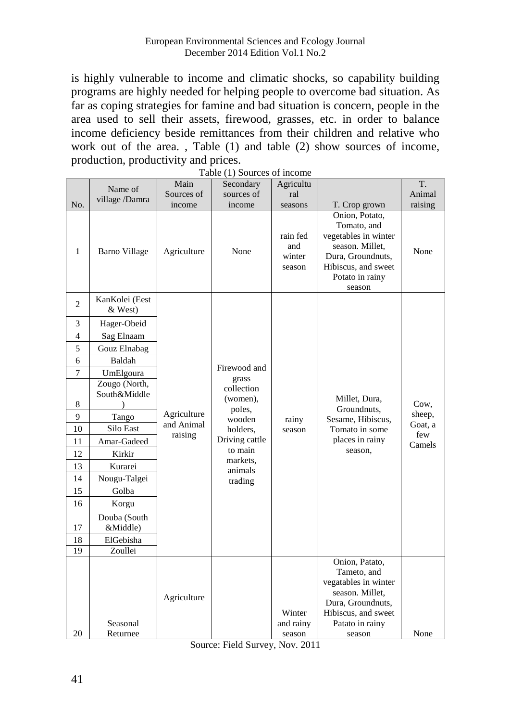is highly vulnerable to income and climatic shocks, so capability building programs are highly needed for helping people to overcome bad situation. As far as coping strategies for famine and bad situation is concern, people in the area used to sell their assets, firewood, grasses, etc. in order to balance income deficiency beside remittances from their children and relative who work out of the area. , Table (1) and table (2) show sources of income, production, productivity and prices.

|     | Name of                   | Main        | Secondary             | Agricultu                           |                                                                                                                                                   | T.      |
|-----|---------------------------|-------------|-----------------------|-------------------------------------|---------------------------------------------------------------------------------------------------------------------------------------------------|---------|
|     | village /Damra            | Sources of  | sources of            | ral                                 |                                                                                                                                                   | Animal  |
| No. |                           | income      | income                | seasons                             | T. Crop grown                                                                                                                                     | raising |
| 1   | Barno Village             | Agriculture | None                  | rain fed<br>and<br>winter<br>season | Onion, Potato,<br>Tomato, and<br>vegetables in winter<br>season. Millet,<br>Dura, Groundnuts,<br>Hibiscus, and sweet<br>Potato in rainy<br>season | None    |
| 2   | KanKolei (Eest<br>& West) |             |                       |                                     |                                                                                                                                                   |         |
| 3   | Hager-Obeid               |             |                       |                                     |                                                                                                                                                   |         |
| 4   | Sag Elnaam                |             |                       |                                     |                                                                                                                                                   |         |
| 5   | Gouz Elnabag              |             |                       |                                     |                                                                                                                                                   |         |
| 6   | Baldah                    |             |                       |                                     |                                                                                                                                                   |         |
| 7   | UmElgoura                 |             | Firewood and<br>grass |                                     |                                                                                                                                                   |         |
|     | Zougo (North,             |             | collection            |                                     |                                                                                                                                                   |         |
| 8   | South&Middle              |             | (women),              |                                     | Millet, Dura,                                                                                                                                     | Cow,    |
| 9   | Tango                     | Agriculture | poles,                |                                     | Groundnuts,                                                                                                                                       | sheep,  |
| 10  | Silo East                 | and Animal  | wooden<br>holders,    | rainy<br>season                     | Sesame, Hibiscus,<br>Tomato in some                                                                                                               | Goat, a |
| 11  | Amar-Gadeed               | raising     | Driving cattle        |                                     | places in rainy                                                                                                                                   | few     |
| 12  | Kirkir                    |             | to main               |                                     | season.                                                                                                                                           | Camels  |
| 13  | Kurarei                   |             | markets.              |                                     |                                                                                                                                                   |         |
| 14  | Nougu-Talgei              |             | animals<br>trading    |                                     |                                                                                                                                                   |         |
| 15  | Golba                     |             |                       |                                     |                                                                                                                                                   |         |
| 16  | Korgu                     |             |                       |                                     |                                                                                                                                                   |         |
|     | Douba (South              |             |                       |                                     |                                                                                                                                                   |         |
| 17  | &Middle)                  |             |                       |                                     |                                                                                                                                                   |         |
| 18  | ElGebisha                 |             |                       |                                     |                                                                                                                                                   |         |
| 19  | Zoullei                   |             |                       |                                     |                                                                                                                                                   |         |
| 20  | Seasonal<br>Returnee      | Agriculture |                       | Winter<br>and rainy<br>season       | Onion, Patato,<br>Tameto, and<br>vegatables in winter<br>season. Millet,<br>Dura, Groundnuts,<br>Hibiscus, and sweet<br>Patato in rainy<br>season | None    |

Table (1) Sources of income

Source: Field Survey, Nov. 2011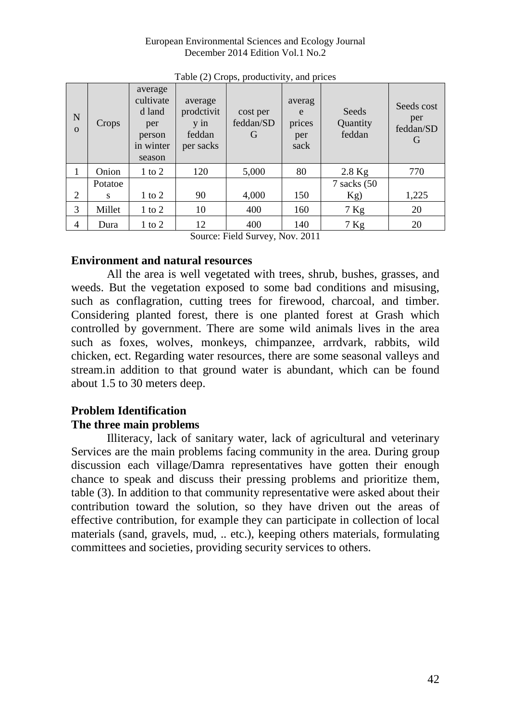#### European Environmental Sciences and Ecology Journal December 2014 Edition Vol.1 No.2

| $\mathbf N$<br>$\Omega$ | Crops   | average<br>cultivate<br>d land<br>per<br>person<br>in winter<br>season | average<br>prodctivit<br>$\overline{v}$ in<br>feddan<br>per sacks | cost per<br>feddan/SD<br>G | averag<br>e<br>prices<br>per<br>sack | Seeds<br>Quantity<br>feddan | Seeds cost<br>per<br>feddan/SD<br>G |
|-------------------------|---------|------------------------------------------------------------------------|-------------------------------------------------------------------|----------------------------|--------------------------------------|-----------------------------|-------------------------------------|
| 1                       | Onion   | $1$ to $2$                                                             | 120                                                               | 5,000                      | 80                                   | $2.8$ Kg                    | 770                                 |
|                         | Potatoe |                                                                        |                                                                   |                            |                                      | $7$ sacks $(50)$            |                                     |
| 2                       | s       | $1$ to $2$                                                             | 90                                                                | 4,000                      | 150                                  | Kg)                         | 1,225                               |
| 3                       | Millet  | $1 \text{ to } 2$                                                      | 10                                                                | 400                        | 160                                  | $7$ Kg                      | 20                                  |
| 4                       | Dura    | $1$ to $2$                                                             | 12                                                                | 400                        | 140                                  | $7$ Kg                      | 20                                  |

Table (2) Crops, productivity, and prices

Source: Field Survey, Nov. 2011

### **Environment and natural resources**

All the area is well vegetated with trees, shrub, bushes, grasses, and weeds. But the vegetation exposed to some bad conditions and misusing, such as conflagration, cutting trees for firewood, charcoal, and timber. Considering planted forest, there is one planted forest at Grash which controlled by government. There are some wild animals lives in the area such as foxes, wolves, monkeys, chimpanzee, arrdvark, rabbits, wild chicken, ect. Regarding water resources, there are some seasonal valleys and stream.in addition to that ground water is abundant, which can be found about 1.5 to 30 meters deep.

### **Problem Identification The three main problems**

Illiteracy, lack of sanitary water, lack of agricultural and veterinary Services are the main problems facing community in the area. During group discussion each village/Damra representatives have gotten their enough chance to speak and discuss their pressing problems and prioritize them, table (3). In addition to that community representative were asked about their contribution toward the solution, so they have driven out the areas of effective contribution, for example they can participate in collection of local materials (sand, gravels, mud, .. etc.), keeping others materials, formulating committees and societies, providing security services to others.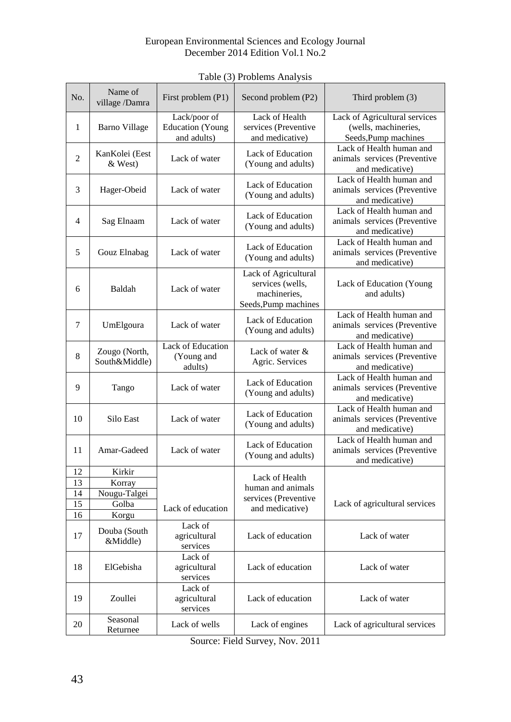#### European Environmental Sciences and Ecology Journal December 2014 Edition Vol.1 No.2

| No.          | Name of<br>village /Damra      | First problem (P1)                                     | Second problem (P2)                                                              | Third problem (3)                                                             |  |
|--------------|--------------------------------|--------------------------------------------------------|----------------------------------------------------------------------------------|-------------------------------------------------------------------------------|--|
| $\mathbf{1}$ | Barno Village                  | Lack/poor of<br><b>Education</b> (Young<br>and adults) | Lack of Health<br>services (Preventive<br>and medicative)                        | Lack of Agricultural services<br>(wells, machineries,<br>Seeds, Pump machines |  |
| 2            | KanKolei (Eest<br>& West)      | Lack of water                                          | Lack of Education<br>(Young and adults)                                          | Lack of Health human and<br>animals services (Preventive<br>and medicative)   |  |
| 3            | Hager-Obeid                    | Lack of water                                          | Lack of Education<br>(Young and adults)                                          | Lack of Health human and<br>animals services (Preventive<br>and medicative)   |  |
| 4            | Sag Elnaam                     | Lack of water                                          | Lack of Education<br>(Young and adults)                                          | Lack of Health human and<br>animals services (Preventive<br>and medicative)   |  |
| 5            | Gouz Elnabag                   | Lack of water                                          | Lack of Education<br>(Young and adults)                                          | Lack of Health human and<br>animals services (Preventive<br>and medicative)   |  |
| 6            | Baldah                         | Lack of water                                          | Lack of Agricultural<br>services (wells,<br>machineries,<br>Seeds, Pump machines | Lack of Education (Young<br>and adults)                                       |  |
| 7            | UmElgoura                      | Lack of water                                          | Lack of Education<br>(Young and adults)                                          | Lack of Health human and<br>animals services (Preventive<br>and medicative)   |  |
| 8            | Zougo (North,<br>South&Middle) | Lack of Education<br>(Young and<br>adults)             | Lack of water &<br>Agric. Services                                               | Lack of Health human and<br>animals services (Preventive<br>and medicative)   |  |
| 9            | Tango                          | Lack of water                                          | Lack of Education<br>(Young and adults)                                          | Lack of Health human and<br>animals services (Preventive<br>and medicative)   |  |
| 10           | Silo East                      | Lack of water                                          | Lack of Education<br>(Young and adults)                                          | Lack of Health human and<br>animals services (Preventive<br>and medicative)   |  |
| 11           | Amar-Gadeed                    | Lack of water                                          | Lack of Education<br>(Young and adults)                                          | Lack of Health human and<br>animals services (Preventive<br>and medicative)   |  |
| 12           | Kirkir                         |                                                        | Lack of Health                                                                   |                                                                               |  |
| 13           | Korray                         |                                                        | human and animals                                                                |                                                                               |  |
| 14           | Nougu-Talgei                   |                                                        | services (Preventive                                                             |                                                                               |  |
| 15           | Golba<br>Lack of education     |                                                        | and medicative)                                                                  | Lack of agricultural services                                                 |  |
| 16           | Korgu                          | Lack of                                                |                                                                                  |                                                                               |  |
| 17           | Douba (South<br>&Middle)       | agricultural<br>services                               | Lack of education                                                                | Lack of water                                                                 |  |
| 18           | ElGebisha                      | Lack of<br>agricultural<br>services                    | Lack of education                                                                | Lack of water                                                                 |  |
| 19           | Zoullei                        | Lack of<br>agricultural<br>services                    | Lack of education                                                                | Lack of water                                                                 |  |
| 20           | Seasonal<br>Returnee           | Lack of wells                                          | Lack of engines                                                                  | Lack of agricultural services                                                 |  |

Table (3) Problems Analysis

Source: Field Survey, Nov. 2011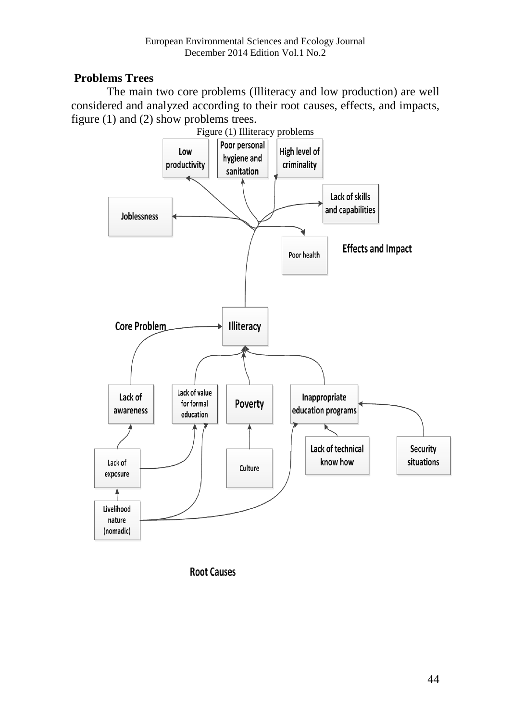### **Problems Trees**

The main two core problems (Illiteracy and low production) are well considered and analyzed according to their root causes, effects, and impacts, figure (1) and (2) show problems trees.



**Root Causes**